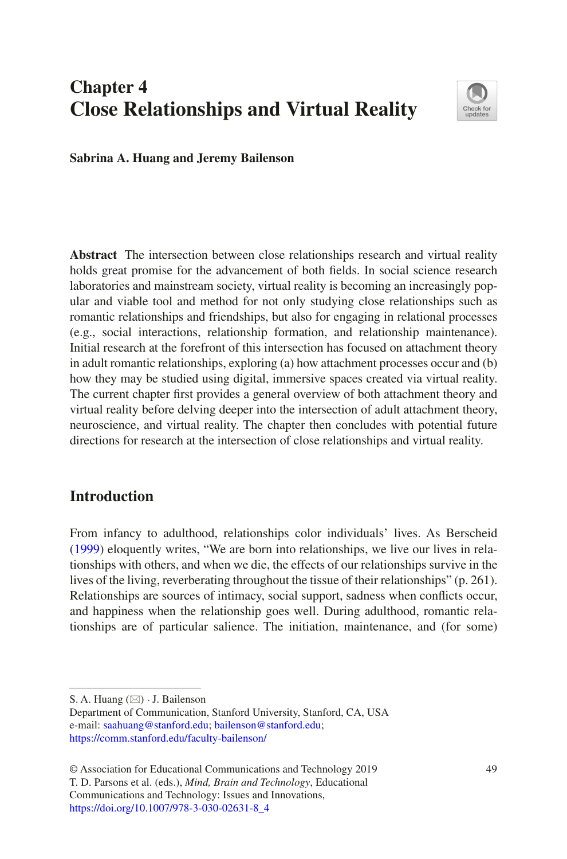# **Chapter 4 Close Relationships and Virtual Reality**



**Sabrina A. Huang and Jeremy Bailenson**

**Abstract** The intersection between close relationships research and virtual reality holds great promise for the advancement of both fields. In social science research laboratories and mainstream society, virtual reality is becoming an increasingly popular and viable tool and method for not only studying close relationships such as romantic relationships and friendships, but also for engaging in relational processes (e.g., social interactions, relationship formation, and relationship maintenance). Initial research at the forefront of this intersection has focused on attachment theory in adult romantic relationships, exploring (a) how attachment processes occur and (b) how they may be studied using digital, immersive spaces created via virtual reality. The current chapter first provides a general overview of both attachment theory and virtual reality before delving deeper into the intersection of adult attachment theory, neuroscience, and virtual reality. The chapter then concludes with potential future directions for research at the intersection of close relationships and virtual reality.

# **Introduction**

From infancy to adulthood, relationships color individuals' lives. As Berscheid [\(1999](#page-13-0)) eloquently writes, "We are born into relationships, we live our lives in relationships with others, and when we die, the effects of our relationships survive in the lives of the living, reverberating throughout the tissue of their relationships" (p. 261). Relationships are sources of intimacy, social support, sadness when conflicts occur, and happiness when the relationship goes well. During adulthood, romantic relationships are of particular salience. The initiation, maintenance, and (for some)

S. A. Huang (\*) *·* J. Bailenson

Department of Communication, Stanford University, Stanford, CA, USA e-mail: [saahuang@stanford.edu;](mailto:saahuang@stanford.edu) [bailenson@stanford.edu;](mailto:bailenson@stanford.edu) https://comm.stanford.edu/faculty-bailenson/

<sup>©</sup> Association for Educational Communications and Technology 2019 49 T. D. Parsons et al. (eds.), *Mind, Brain and Technology*, Educational Communications and Technology: Issues and Innovations, [https://doi.org/10.1007/978-3-030-02631-8\\_4](https://doi.org/10.1007/978-3-030-02631-8_4)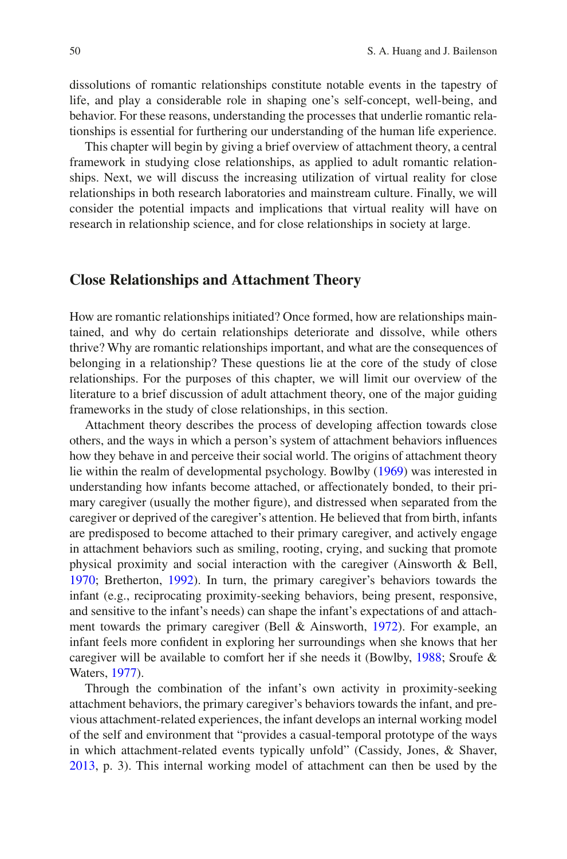dissolutions of romantic relationships constitute notable events in the tapestry of life, and play a considerable role in shaping one's self-concept, well-being, and behavior. For these reasons, understanding the processes that underlie romantic relationships is essential for furthering our understanding of the human life experience.

This chapter will begin by giving a brief overview of attachment theory, a central framework in studying close relationships, as applied to adult romantic relationships. Next, we will discuss the increasing utilization of virtual reality for close relationships in both research laboratories and mainstream culture. Finally, we will consider the potential impacts and implications that virtual reality will have on research in relationship science, and for close relationships in society at large.

#### **Close Relationships and Attachment Theory**

How are romantic relationships initiated? Once formed, how are relationships maintained, and why do certain relationships deteriorate and dissolve, while others thrive? Why are romantic relationships important, and what are the consequences of belonging in a relationship? These questions lie at the core of the study of close relationships. For the purposes of this chapter, we will limit our overview of the literature to a brief discussion of adult attachment theory, one of the major guiding frameworks in the study of close relationships, in this section.

Attachment theory describes the process of developing affection towards close others, and the ways in which a person's system of attachment behaviors influences how they behave in and perceive their social world. The origins of attachment theory lie within the realm of developmental psychology. Bowlby ([1969\)](#page-13-1) was interested in understanding how infants become attached, or affectionately bonded, to their primary caregiver (usually the mother figure), and distressed when separated from the caregiver or deprived of the caregiver's attention. He believed that from birth, infants are predisposed to become attached to their primary caregiver, and actively engage in attachment behaviors such as smiling, rooting, crying, and sucking that promote physical proximity and social interaction with the caregiver (Ainsworth & Bell, [1970;](#page-13-2) Bretherton, [1992](#page-13-3)). In turn, the primary caregiver's behaviors towards the infant (e.g., reciprocating proximity-seeking behaviors, being present, responsive, and sensitive to the infant's needs) can shape the infant's expectations of and attachment towards the primary caregiver (Bell & Ainsworth, [1972\)](#page-13-4). For example, an infant feels more confident in exploring her surroundings when she knows that her caregiver will be available to comfort her if she needs it (Bowlby, [1988](#page-13-5); Sroufe & Waters, [1977](#page-16-0)).

Through the combination of the infant's own activity in proximity-seeking attachment behaviors, the primary caregiver's behaviors towards the infant, and previous attachment-related experiences, the infant develops an internal working model of the self and environment that "provides a casual-temporal prototype of the ways in which attachment-related events typically unfold" (Cassidy, Jones, & Shaver, [2013,](#page-14-0) p. 3). This internal working model of attachment can then be used by the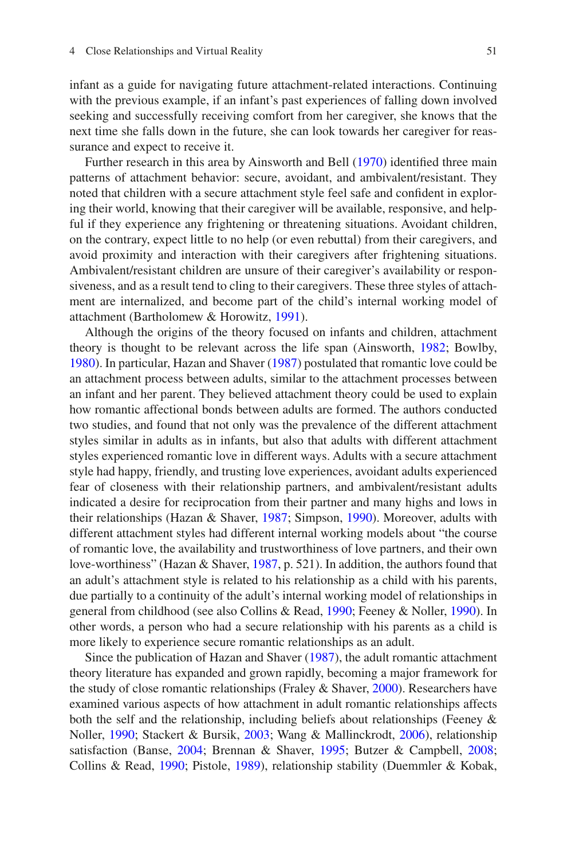infant as a guide for navigating future attachment-related interactions. Continuing with the previous example, if an infant's past experiences of falling down involved seeking and successfully receiving comfort from her caregiver, she knows that the next time she falls down in the future, she can look towards her caregiver for reassurance and expect to receive it.

Further research in this area by Ainsworth and Bell ([1970\)](#page-13-2) identified three main patterns of attachment behavior: secure, avoidant, and ambivalent/resistant. They noted that children with a secure attachment style feel safe and confident in exploring their world, knowing that their caregiver will be available, responsive, and helpful if they experience any frightening or threatening situations. Avoidant children, on the contrary, expect little to no help (or even rebuttal) from their caregivers, and avoid proximity and interaction with their caregivers after frightening situations. Ambivalent/resistant children are unsure of their caregiver's availability or responsiveness, and as a result tend to cling to their caregivers. These three styles of attachment are internalized, and become part of the child's internal working model of attachment (Bartholomew & Horowitz, [1991](#page-13-6)).

Although the origins of the theory focused on infants and children, attachment theory is thought to be relevant across the life span (Ainsworth, [1982;](#page-13-7) Bowlby, [1980\)](#page-13-8). In particular, Hazan and Shaver ([1987\)](#page-15-0) postulated that romantic love could be an attachment process between adults, similar to the attachment processes between an infant and her parent. They believed attachment theory could be used to explain how romantic affectional bonds between adults are formed. The authors conducted two studies, and found that not only was the prevalence of the different attachment styles similar in adults as in infants, but also that adults with different attachment styles experienced romantic love in different ways. Adults with a secure attachment style had happy, friendly, and trusting love experiences, avoidant adults experienced fear of closeness with their relationship partners, and ambivalent/resistant adults indicated a desire for reciprocation from their partner and many highs and lows in their relationships (Hazan & Shaver, [1987;](#page-15-0) Simpson, [1990\)](#page-16-1). Moreover, adults with different attachment styles had different internal working models about "the course of romantic love, the availability and trustworthiness of love partners, and their own love-worthiness" (Hazan & Shaver, [1987](#page-15-0), p. 521). In addition, the authors found that an adult's attachment style is related to his relationship as a child with his parents, due partially to a continuity of the adult's internal working model of relationships in general from childhood (see also Collins & Read, [1990;](#page-14-1) Feeney & Noller, [1990](#page-14-2)). In other words, a person who had a secure relationship with his parents as a child is more likely to experience secure romantic relationships as an adult.

Since the publication of Hazan and Shaver ([1987\)](#page-15-0), the adult romantic attachment theory literature has expanded and grown rapidly, becoming a major framework for the study of close romantic relationships (Fraley & Shaver, [2000\)](#page-14-3). Researchers have examined various aspects of how attachment in adult romantic relationships affects both the self and the relationship, including beliefs about relationships (Feeney & Noller, [1990](#page-14-2); Stackert & Bursik, [2003](#page-16-2); Wang & Mallinckrodt, [2006\)](#page-16-3), relationship satisfaction (Banse, [2004](#page-13-9); Brennan & Shaver, [1995;](#page-13-10) Butzer & Campbell, [2008;](#page-14-4) Collins & Read, [1990](#page-14-1); Pistole, [1989\)](#page-15-1), relationship stability (Duemmler & Kobak,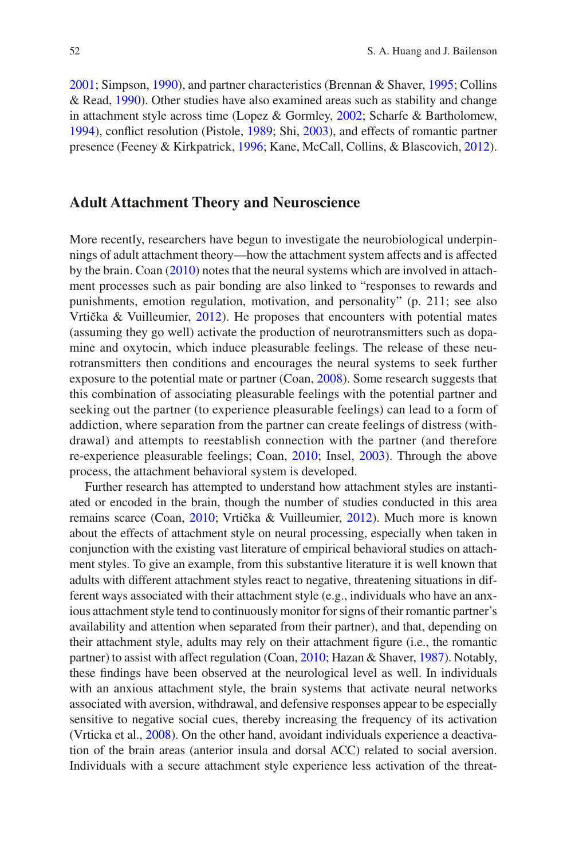[2001;](#page-14-5) Simpson, [1990\)](#page-16-1), and partner characteristics (Brennan & Shaver, [1995;](#page-13-10) Collins & Read, [1990](#page-14-1)). Other studies have also examined areas such as stability and change in attachment style across time (Lopez & Gormley, [2002;](#page-15-2) Scharfe & Bartholomew, [1994\)](#page-15-3), conflict resolution (Pistole, [1989](#page-15-1); Shi, [2003\)](#page-16-4), and effects of romantic partner presence (Feeney & Kirkpatrick, [1996](#page-14-6); Kane, McCall, Collins, & Blascovich, [2012\)](#page-15-4).

#### **Adult Attachment Theory and Neuroscience**

More recently, researchers have begun to investigate the neurobiological underpinnings of adult attachment theory—how the attachment system affects and is affected by the brain. Coan [\(2010](#page-14-7)) notes that the neural systems which are involved in attachment processes such as pair bonding are also linked to "responses to rewards and punishments, emotion regulation, motivation, and personality" (p. 211; see also Vrtička & Vuilleumier, [2012\)](#page-16-5). He proposes that encounters with potential mates (assuming they go well) activate the production of neurotransmitters such as dopamine and oxytocin, which induce pleasurable feelings. The release of these neurotransmitters then conditions and encourages the neural systems to seek further exposure to the potential mate or partner (Coan, [2008\)](#page-14-8). Some research suggests that this combination of associating pleasurable feelings with the potential partner and seeking out the partner (to experience pleasurable feelings) can lead to a form of addiction, where separation from the partner can create feelings of distress (withdrawal) and attempts to reestablish connection with the partner (and therefore re-experience pleasurable feelings; Coan, [2010](#page-14-7); Insel, [2003\)](#page-15-5). Through the above process, the attachment behavioral system is developed.

Further research has attempted to understand how attachment styles are instantiated or encoded in the brain, though the number of studies conducted in this area remains scarce (Coan, [2010;](#page-14-7) Vrtička & Vuilleumier, [2012\)](#page-16-5). Much more is known about the effects of attachment style on neural processing, especially when taken in conjunction with the existing vast literature of empirical behavioral studies on attachment styles. To give an example, from this substantive literature it is well known that adults with different attachment styles react to negative, threatening situations in different ways associated with their attachment style (e.g., individuals who have an anxious attachment style tend to continuously monitor for signs of their romantic partner's availability and attention when separated from their partner), and that, depending on their attachment style, adults may rely on their attachment figure (i.e., the romantic partner) to assist with affect regulation (Coan, [2010](#page-14-7); Hazan & Shaver, [1987](#page-15-0)). Notably, these findings have been observed at the neurological level as well. In individuals with an anxious attachment style, the brain systems that activate neural networks associated with aversion, withdrawal, and defensive responses appear to be especially sensitive to negative social cues, thereby increasing the frequency of its activation (Vrticka et al., [2008\)](#page-16-6). On the other hand, avoidant individuals experience a deactivation of the brain areas (anterior insula and dorsal ACC) related to social aversion. Individuals with a secure attachment style experience less activation of the threat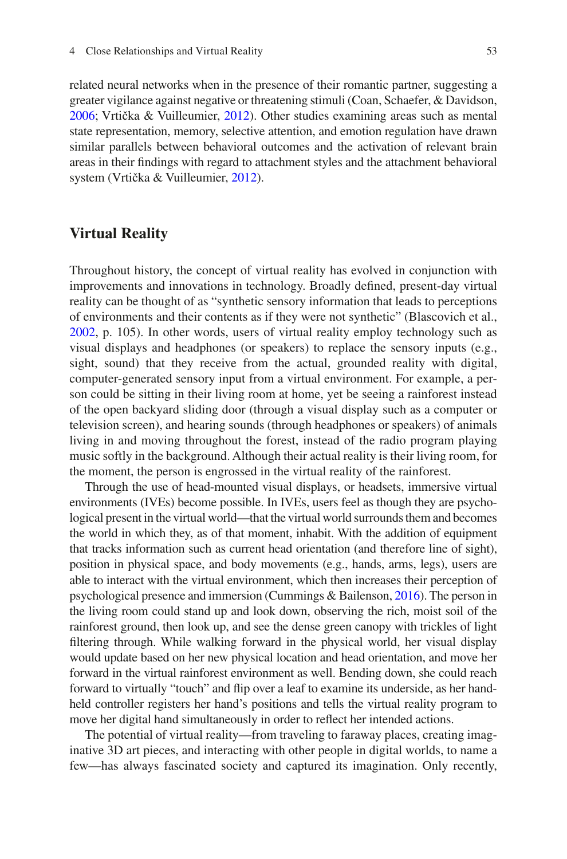related neural networks when in the presence of their romantic partner, suggesting a greater vigilance against negative or threatening stimuli (Coan, Schaefer, & Davidson, [2006;](#page-14-9) Vrtička & Vuilleumier, [2012](#page-16-5)). Other studies examining areas such as mental state representation, memory, selective attention, and emotion regulation have drawn similar parallels between behavioral outcomes and the activation of relevant brain areas in their findings with regard to attachment styles and the attachment behavioral system (Vrtička & Vuilleumier, [2012](#page-16-5)).

## **Virtual Reality**

Throughout history, the concept of virtual reality has evolved in conjunction with improvements and innovations in technology. Broadly defined, present-day virtual reality can be thought of as "synthetic sensory information that leads to perceptions of environments and their contents as if they were not synthetic" (Blascovich et al., [2002,](#page-13-11) p. 105). In other words, users of virtual reality employ technology such as visual displays and headphones (or speakers) to replace the sensory inputs (e.g., sight, sound) that they receive from the actual, grounded reality with digital, computer-generated sensory input from a virtual environment. For example, a person could be sitting in their living room at home, yet be seeing a rainforest instead of the open backyard sliding door (through a visual display such as a computer or television screen), and hearing sounds (through headphones or speakers) of animals living in and moving throughout the forest, instead of the radio program playing music softly in the background. Although their actual reality is their living room, for the moment, the person is engrossed in the virtual reality of the rainforest.

Through the use of head-mounted visual displays, or headsets, immersive virtual environments (IVEs) become possible. In IVEs, users feel as though they are psychological present in the virtual world—that the virtual world surrounds them and becomes the world in which they, as of that moment, inhabit. With the addition of equipment that tracks information such as current head orientation (and therefore line of sight), position in physical space, and body movements (e.g., hands, arms, legs), users are able to interact with the virtual environment, which then increases their perception of psychological presence and immersion (Cummings & Bailenson, [2016\)](#page-14-10). The person in the living room could stand up and look down, observing the rich, moist soil of the rainforest ground, then look up, and see the dense green canopy with trickles of light filtering through. While walking forward in the physical world, her visual display would update based on her new physical location and head orientation, and move her forward in the virtual rainforest environment as well. Bending down, she could reach forward to virtually "touch" and flip over a leaf to examine its underside, as her handheld controller registers her hand's positions and tells the virtual reality program to move her digital hand simultaneously in order to reflect her intended actions.

The potential of virtual reality—from traveling to faraway places, creating imaginative 3D art pieces, and interacting with other people in digital worlds, to name a few—has always fascinated society and captured its imagination. Only recently,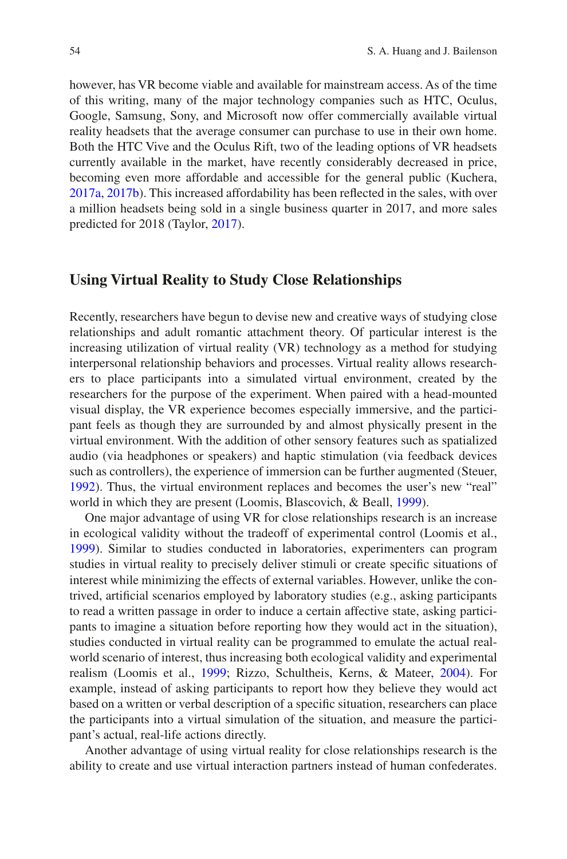however, has VR become viable and available for mainstream access. As of the time of this writing, many of the major technology companies such as HTC, Oculus, Google, Samsung, Sony, and Microsoft now offer commercially available virtual reality headsets that the average consumer can purchase to use in their own home. Both the HTC Vive and the Oculus Rift, two of the leading options of VR headsets currently available in the market, have recently considerably decreased in price, becoming even more affordable and accessible for the general public (Kuchera, [2017a](#page-15-6), [2017b\)](#page-15-7). This increased affordability has been reflected in the sales, with over a million headsets being sold in a single business quarter in 2017, and more sales predicted for 2018 (Taylor, [2017](#page-16-7)).

## **Using Virtual Reality to Study Close Relationships**

Recently, researchers have begun to devise new and creative ways of studying close relationships and adult romantic attachment theory. Of particular interest is the increasing utilization of virtual reality (VR) technology as a method for studying interpersonal relationship behaviors and processes. Virtual reality allows researchers to place participants into a simulated virtual environment, created by the researchers for the purpose of the experiment. When paired with a head-mounted visual display, the VR experience becomes especially immersive, and the participant feels as though they are surrounded by and almost physically present in the virtual environment. With the addition of other sensory features such as spatialized audio (via headphones or speakers) and haptic stimulation (via feedback devices such as controllers), the experience of immersion can be further augmented (Steuer, [1992\)](#page-16-8). Thus, the virtual environment replaces and becomes the user's new "real" world in which they are present (Loomis, Blascovich, & Beall, [1999](#page-15-8)).

One major advantage of using VR for close relationships research is an increase in ecological validity without the tradeoff of experimental control (Loomis et al., [1999\)](#page-15-8). Similar to studies conducted in laboratories, experimenters can program studies in virtual reality to precisely deliver stimuli or create specific situations of interest while minimizing the effects of external variables. However, unlike the contrived, artificial scenarios employed by laboratory studies (e.g., asking participants to read a written passage in order to induce a certain affective state, asking participants to imagine a situation before reporting how they would act in the situation), studies conducted in virtual reality can be programmed to emulate the actual realworld scenario of interest, thus increasing both ecological validity and experimental realism (Loomis et al., [1999;](#page-15-8) Rizzo, Schultheis, Kerns, & Mateer, [2004](#page-15-9)). For example, instead of asking participants to report how they believe they would act based on a written or verbal description of a specific situation, researchers can place the participants into a virtual simulation of the situation, and measure the participant's actual, real-life actions directly.

Another advantage of using virtual reality for close relationships research is the ability to create and use virtual interaction partners instead of human confederates.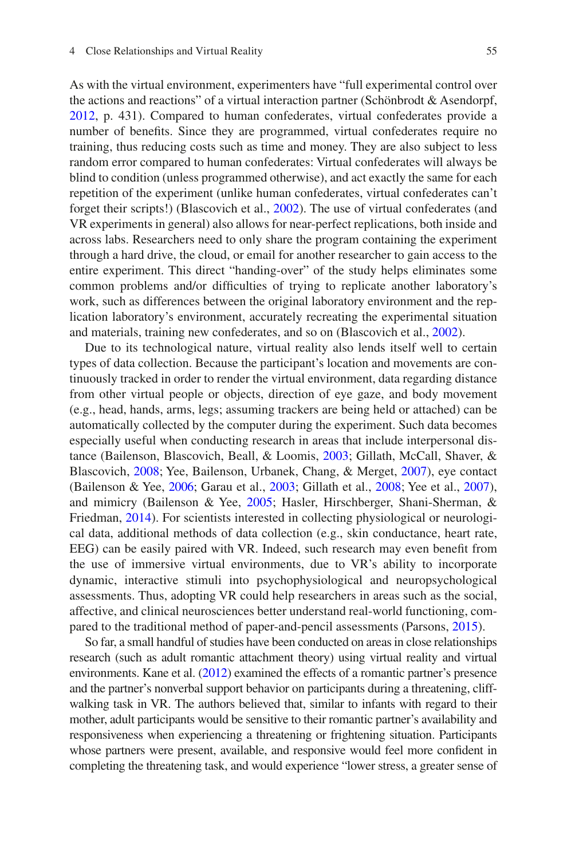As with the virtual environment, experimenters have "full experimental control over the actions and reactions" of a virtual interaction partner (Schönbrodt & Asendorpf, [2012,](#page-16-9) p. 431). Compared to human confederates, virtual confederates provide a number of benefits. Since they are programmed, virtual confederates require no training, thus reducing costs such as time and money. They are also subject to less random error compared to human confederates: Virtual confederates will always be blind to condition (unless programmed otherwise), and act exactly the same for each repetition of the experiment (unlike human confederates, virtual confederates can't forget their scripts!) (Blascovich et al., [2002\)](#page-13-11). The use of virtual confederates (and VR experiments in general) also allows for near-perfect replications, both inside and across labs. Researchers need to only share the program containing the experiment through a hard drive, the cloud, or email for another researcher to gain access to the entire experiment. This direct "handing-over" of the study helps eliminates some common problems and/or difficulties of trying to replicate another laboratory's work, such as differences between the original laboratory environment and the replication laboratory's environment, accurately recreating the experimental situation and materials, training new confederates, and so on (Blascovich et al., [2002](#page-13-11)).

Due to its technological nature, virtual reality also lends itself well to certain types of data collection. Because the participant's location and movements are continuously tracked in order to render the virtual environment, data regarding distance from other virtual people or objects, direction of eye gaze, and body movement (e.g., head, hands, arms, legs; assuming trackers are being held or attached) can be automatically collected by the computer during the experiment. Such data becomes especially useful when conducting research in areas that include interpersonal distance (Bailenson, Blascovich, Beall, & Loomis, [2003](#page-13-12); Gillath, McCall, Shaver, & Blascovich, [2008;](#page-14-11) Yee, Bailenson, Urbanek, Chang, & Merget, [2007](#page-16-10)), eye contact (Bailenson & Yee, [2006](#page-13-13); Garau et al., [2003;](#page-14-12) Gillath et al., [2008](#page-14-11); Yee et al., [2007\)](#page-16-10), and mimicry (Bailenson & Yee, [2005](#page-13-14); Hasler, Hirschberger, Shani-Sherman, & Friedman, [2014](#page-14-13)). For scientists interested in collecting physiological or neurological data, additional methods of data collection (e.g., skin conductance, heart rate, EEG) can be easily paired with VR. Indeed, such research may even benefit from the use of immersive virtual environments, due to VR's ability to incorporate dynamic, interactive stimuli into psychophysiological and neuropsychological assessments. Thus, adopting VR could help researchers in areas such as the social, affective, and clinical neurosciences better understand real-world functioning, compared to the traditional method of paper-and-pencil assessments (Parsons, [2015\)](#page-15-10).

So far, a small handful of studies have been conducted on areas in close relationships research (such as adult romantic attachment theory) using virtual reality and virtual environments. Kane et al. [\(2012](#page-15-4)) examined the effects of a romantic partner's presence and the partner's nonverbal support behavior on participants during a threatening, cliffwalking task in VR. The authors believed that, similar to infants with regard to their mother, adult participants would be sensitive to their romantic partner's availability and responsiveness when experiencing a threatening or frightening situation. Participants whose partners were present, available, and responsive would feel more confident in completing the threatening task, and would experience "lower stress, a greater sense of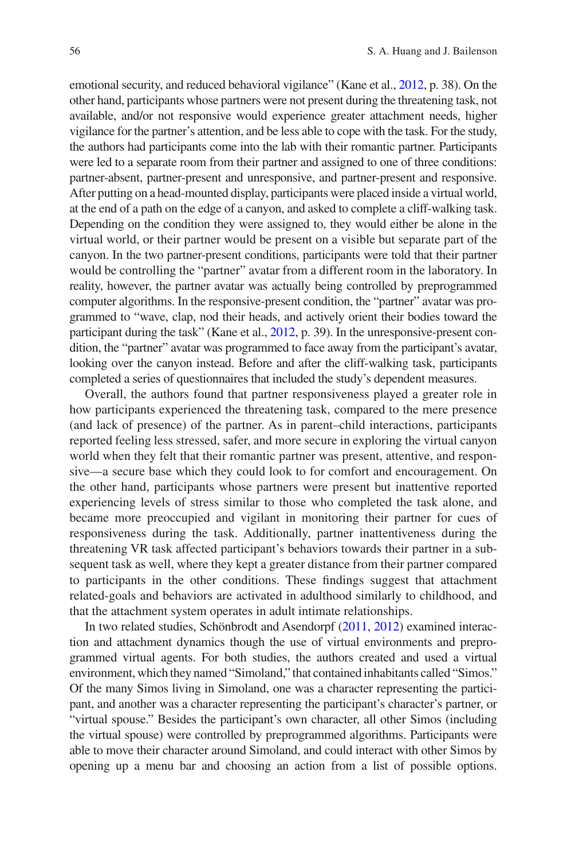emotional security, and reduced behavioral vigilance" (Kane et al., [2012,](#page-15-4) p. 38). On the other hand, participants whose partners were not present during the threatening task, not available, and/or not responsive would experience greater attachment needs, higher vigilance for the partner's attention, and be less able to cope with the task. For the study, the authors had participants come into the lab with their romantic partner. Participants were led to a separate room from their partner and assigned to one of three conditions: partner-absent, partner-present and unresponsive, and partner-present and responsive. After putting on a head-mounted display, participants were placed inside a virtual world, at the end of a path on the edge of a canyon, and asked to complete a cliff-walking task. Depending on the condition they were assigned to, they would either be alone in the virtual world, or their partner would be present on a visible but separate part of the canyon. In the two partner-present conditions, participants were told that their partner would be controlling the "partner" avatar from a different room in the laboratory. In reality, however, the partner avatar was actually being controlled by preprogrammed computer algorithms. In the responsive-present condition, the "partner" avatar was programmed to "wave, clap, nod their heads, and actively orient their bodies toward the participant during the task" (Kane et al., [2012,](#page-15-4) p. 39). In the unresponsive-present condition, the "partner" avatar was programmed to face away from the participant's avatar, looking over the canyon instead. Before and after the cliff-walking task, participants completed a series of questionnaires that included the study's dependent measures.

Overall, the authors found that partner responsiveness played a greater role in how participants experienced the threatening task, compared to the mere presence (and lack of presence) of the partner. As in parent–child interactions, participants reported feeling less stressed, safer, and more secure in exploring the virtual canyon world when they felt that their romantic partner was present, attentive, and responsive—a secure base which they could look to for comfort and encouragement. On the other hand, participants whose partners were present but inattentive reported experiencing levels of stress similar to those who completed the task alone, and became more preoccupied and vigilant in monitoring their partner for cues of responsiveness during the task. Additionally, partner inattentiveness during the threatening VR task affected participant's behaviors towards their partner in a subsequent task as well, where they kept a greater distance from their partner compared to participants in the other conditions. These findings suggest that attachment related-goals and behaviors are activated in adulthood similarly to childhood, and that the attachment system operates in adult intimate relationships.

In two related studies, Schönbrodt and Asendorpf ([2011,](#page-16-11) [2012\)](#page-16-9) examined interaction and attachment dynamics though the use of virtual environments and preprogrammed virtual agents. For both studies, the authors created and used a virtual environment, which they named "Simoland," that contained inhabitants called "Simos." Of the many Simos living in Simoland, one was a character representing the participant, and another was a character representing the participant's character's partner, or "virtual spouse." Besides the participant's own character, all other Simos (including the virtual spouse) were controlled by preprogrammed algorithms. Participants were able to move their character around Simoland, and could interact with other Simos by opening up a menu bar and choosing an action from a list of possible options.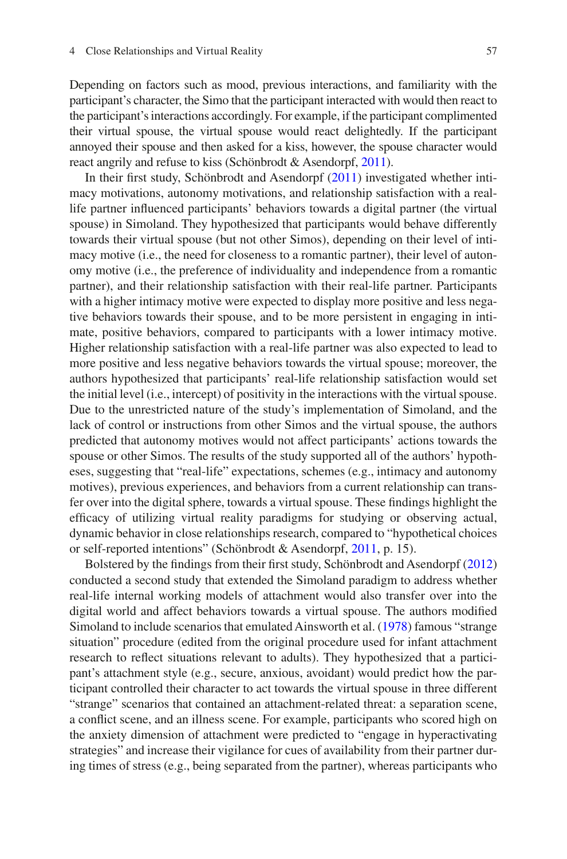Depending on factors such as mood, previous interactions, and familiarity with the participant's character, the Simo that the participant interacted with would then react to the participant's interactions accordingly. For example, if the participant complimented their virtual spouse, the virtual spouse would react delightedly. If the participant annoyed their spouse and then asked for a kiss, however, the spouse character would react angrily and refuse to kiss (Schönbrodt & Asendorpf, [2011\)](#page-16-11).

In their first study, Schönbrodt and Asendorpf [\(2011](#page-16-11)) investigated whether intimacy motivations, autonomy motivations, and relationship satisfaction with a reallife partner influenced participants' behaviors towards a digital partner (the virtual spouse) in Simoland. They hypothesized that participants would behave differently towards their virtual spouse (but not other Simos), depending on their level of intimacy motive (i.e., the need for closeness to a romantic partner), their level of autonomy motive (i.e., the preference of individuality and independence from a romantic partner), and their relationship satisfaction with their real-life partner. Participants with a higher intimacy motive were expected to display more positive and less negative behaviors towards their spouse, and to be more persistent in engaging in intimate, positive behaviors, compared to participants with a lower intimacy motive. Higher relationship satisfaction with a real-life partner was also expected to lead to more positive and less negative behaviors towards the virtual spouse; moreover, the authors hypothesized that participants' real-life relationship satisfaction would set the initial level (i.e., intercept) of positivity in the interactions with the virtual spouse. Due to the unrestricted nature of the study's implementation of Simoland, and the lack of control or instructions from other Simos and the virtual spouse, the authors predicted that autonomy motives would not affect participants' actions towards the spouse or other Simos. The results of the study supported all of the authors' hypotheses, suggesting that "real-life" expectations, schemes (e.g., intimacy and autonomy motives), previous experiences, and behaviors from a current relationship can transfer over into the digital sphere, towards a virtual spouse. These findings highlight the efficacy of utilizing virtual reality paradigms for studying or observing actual, dynamic behavior in close relationships research, compared to "hypothetical choices or self-reported intentions" (Schönbrodt & Asendorpf, [2011](#page-16-11), p. 15).

Bolstered by the findings from their first study, Schönbrodt and Asendorpf [\(2012](#page-16-9)) conducted a second study that extended the Simoland paradigm to address whether real-life internal working models of attachment would also transfer over into the digital world and affect behaviors towards a virtual spouse. The authors modified Simoland to include scenarios that emulated Ainsworth et al. [\(1978](#page-13-15)) famous "strange situation" procedure (edited from the original procedure used for infant attachment research to reflect situations relevant to adults). They hypothesized that a participant's attachment style (e.g., secure, anxious, avoidant) would predict how the participant controlled their character to act towards the virtual spouse in three different "strange" scenarios that contained an attachment-related threat: a separation scene, a conflict scene, and an illness scene. For example, participants who scored high on the anxiety dimension of attachment were predicted to "engage in hyperactivating strategies" and increase their vigilance for cues of availability from their partner during times of stress (e.g., being separated from the partner), whereas participants who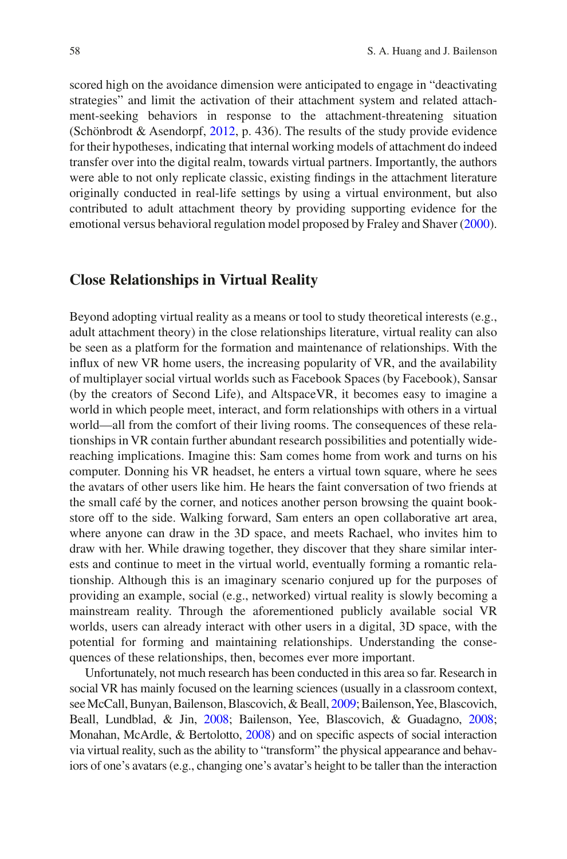scored high on the avoidance dimension were anticipated to engage in "deactivating strategies" and limit the activation of their attachment system and related attachment-seeking behaviors in response to the attachment-threatening situation (Schönbrodt & Asendorpf, [2012](#page-16-9), p. 436). The results of the study provide evidence for their hypotheses, indicating that internal working models of attachment do indeed transfer over into the digital realm, towards virtual partners. Importantly, the authors were able to not only replicate classic, existing findings in the attachment literature originally conducted in real-life settings by using a virtual environment, but also contributed to adult attachment theory by providing supporting evidence for the emotional versus behavioral regulation model proposed by Fraley and Shaver ([2000\)](#page-14-3).

#### **Close Relationships in Virtual Reality**

Beyond adopting virtual reality as a means or tool to study theoretical interests (e.g., adult attachment theory) in the close relationships literature, virtual reality can also be seen as a platform for the formation and maintenance of relationships. With the influx of new VR home users, the increasing popularity of VR, and the availability of multiplayer social virtual worlds such as Facebook Spaces (by Facebook), Sansar (by the creators of Second Life), and AltspaceVR, it becomes easy to imagine a world in which people meet, interact, and form relationships with others in a virtual world—all from the comfort of their living rooms. The consequences of these relationships in VR contain further abundant research possibilities and potentially widereaching implications. Imagine this: Sam comes home from work and turns on his computer. Donning his VR headset, he enters a virtual town square, where he sees the avatars of other users like him. He hears the faint conversation of two friends at the small café by the corner, and notices another person browsing the quaint bookstore off to the side. Walking forward, Sam enters an open collaborative art area, where anyone can draw in the 3D space, and meets Rachael, who invites him to draw with her. While drawing together, they discover that they share similar interests and continue to meet in the virtual world, eventually forming a romantic relationship. Although this is an imaginary scenario conjured up for the purposes of providing an example, social (e.g., networked) virtual reality is slowly becoming a mainstream reality. Through the aforementioned publicly available social VR worlds, users can already interact with other users in a digital, 3D space, with the potential for forming and maintaining relationships. Understanding the consequences of these relationships, then, becomes ever more important.

Unfortunately, not much research has been conducted in this area so far. Research in social VR has mainly focused on the learning sciences (usually in a classroom context, see McCall, Bunyan, Bailenson, Blascovich, & Beall, [2009](#page-15-11); Bailenson, Yee, Blascovich, Beall, Lundblad, & Jin, [2008](#page-13-16); Bailenson, Yee, Blascovich, & Guadagno, [2008;](#page-13-17) Monahan, McArdle, & Bertolotto, [2008\)](#page-15-12) and on specific aspects of social interaction via virtual reality, such as the ability to "transform" the physical appearance and behaviors of one's avatars (e.g., changing one's avatar's height to be taller than the interaction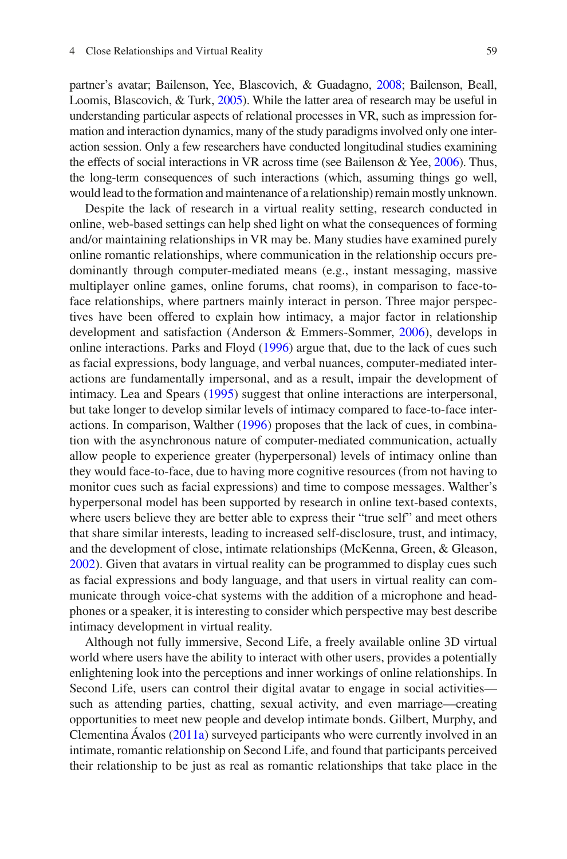partner's avatar; Bailenson, Yee, Blascovich, & Guadagno, [2008](#page-13-17); Bailenson, Beall, Loomis, Blascovich, & Turk, [2005](#page-13-18)). While the latter area of research may be useful in understanding particular aspects of relational processes in VR, such as impression formation and interaction dynamics, many of the study paradigms involved only one interaction session. Only a few researchers have conducted longitudinal studies examining the effects of social interactions in VR across time (see Bailenson & Yee, [2006\)](#page-13-13). Thus, the long-term consequences of such interactions (which, assuming things go well, would lead to the formation and maintenance of a relationship) remain mostly unknown.

Despite the lack of research in a virtual reality setting, research conducted in online, web-based settings can help shed light on what the consequences of forming and/or maintaining relationships in VR may be. Many studies have examined purely online romantic relationships, where communication in the relationship occurs predominantly through computer-mediated means (e.g., instant messaging, massive multiplayer online games, online forums, chat rooms), in comparison to face-toface relationships, where partners mainly interact in person. Three major perspectives have been offered to explain how intimacy, a major factor in relationship development and satisfaction (Anderson & Emmers-Sommer, [2006](#page-13-19)), develops in online interactions. Parks and Floyd ([1996\)](#page-15-13) argue that, due to the lack of cues such as facial expressions, body language, and verbal nuances, computer-mediated interactions are fundamentally impersonal, and as a result, impair the development of intimacy. Lea and Spears [\(1995](#page-15-14)) suggest that online interactions are interpersonal, but take longer to develop similar levels of intimacy compared to face-to-face interactions. In comparison, Walther [\(1996](#page-16-12)) proposes that the lack of cues, in combination with the asynchronous nature of computer-mediated communication, actually allow people to experience greater (hyperpersonal) levels of intimacy online than they would face-to-face, due to having more cognitive resources (from not having to monitor cues such as facial expressions) and time to compose messages. Walther's hyperpersonal model has been supported by research in online text-based contexts, where users believe they are better able to express their "true self" and meet others that share similar interests, leading to increased self-disclosure, trust, and intimacy, and the development of close, intimate relationships (McKenna, Green, & Gleason, [2002\)](#page-15-15). Given that avatars in virtual reality can be programmed to display cues such as facial expressions and body language, and that users in virtual reality can communicate through voice-chat systems with the addition of a microphone and headphones or a speaker, it is interesting to consider which perspective may best describe intimacy development in virtual reality.

Although not fully immersive, Second Life, a freely available online 3D virtual world where users have the ability to interact with other users, provides a potentially enlightening look into the perceptions and inner workings of online relationships. In Second Life, users can control their digital avatar to engage in social activities such as attending parties, chatting, sexual activity, and even marriage—creating opportunities to meet new people and develop intimate bonds. Gilbert, Murphy, and Clementina Ávalos [\(2011a](#page-14-14)) surveyed participants who were currently involved in an intimate, romantic relationship on Second Life, and found that participants perceived their relationship to be just as real as romantic relationships that take place in the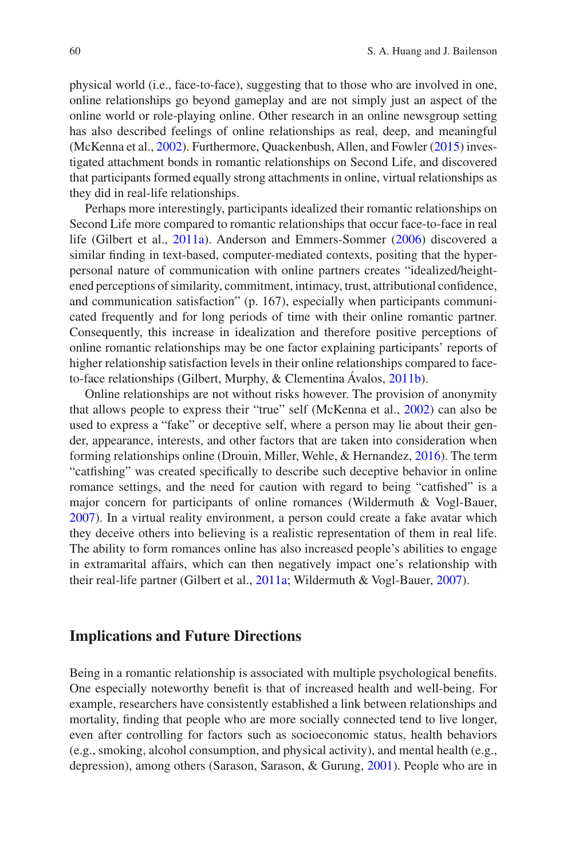physical world (i.e., face-to-face), suggesting that to those who are involved in one, online relationships go beyond gameplay and are not simply just an aspect of the online world or role-playing online. Other research in an online newsgroup setting has also described feelings of online relationships as real, deep, and meaningful (McKenna et al., [2002](#page-15-15)). Furthermore, Quackenbush, Allen, and Fowler ([2015](#page-15-16)) investigated attachment bonds in romantic relationships on Second Life, and discovered that participants formed equally strong attachments in online, virtual relationships as they did in real-life relationships.

Perhaps more interestingly, participants idealized their romantic relationships on Second Life more compared to romantic relationships that occur face-to-face in real life (Gilbert et al., [2011a\)](#page-14-14). Anderson and Emmers-Sommer ([2006\)](#page-13-19) discovered a similar finding in text-based, computer-mediated contexts, positing that the hyperpersonal nature of communication with online partners creates "idealized/heightened perceptions of similarity, commitment, intimacy, trust, attributional confidence, and communication satisfaction" (p. 167), especially when participants communicated frequently and for long periods of time with their online romantic partner. Consequently, this increase in idealization and therefore positive perceptions of online romantic relationships may be one factor explaining participants' reports of higher relationship satisfaction levels in their online relationships compared to faceto-face relationships (Gilbert, Murphy, & Clementina Ávalos, [2011b](#page-14-15)).

Online relationships are not without risks however. The provision of anonymity that allows people to express their "true" self (McKenna et al., [2002](#page-15-15)) can also be used to express a "fake" or deceptive self, where a person may lie about their gender, appearance, interests, and other factors that are taken into consideration when forming relationships online (Drouin, Miller, Wehle, & Hernandez, [2016\)](#page-14-16). The term "catfishing" was created specifically to describe such deceptive behavior in online romance settings, and the need for caution with regard to being "catfished" is a major concern for participants of online romances (Wildermuth & Vogl-Bauer, [2007\)](#page-16-13). In a virtual reality environment, a person could create a fake avatar which they deceive others into believing is a realistic representation of them in real life. The ability to form romances online has also increased people's abilities to engage in extramarital affairs, which can then negatively impact one's relationship with their real-life partner (Gilbert et al., [2011a;](#page-14-14) Wildermuth & Vogl-Bauer, [2007](#page-16-13)).

### **Implications and Future Directions**

Being in a romantic relationship is associated with multiple psychological benefits. One especially noteworthy benefit is that of increased health and well-being. For example, researchers have consistently established a link between relationships and mortality, finding that people who are more socially connected tend to live longer, even after controlling for factors such as socioeconomic status, health behaviors (e.g., smoking, alcohol consumption, and physical activity), and mental health (e.g., depression), among others (Sarason, Sarason, & Gurung, [2001\)](#page-15-17). People who are in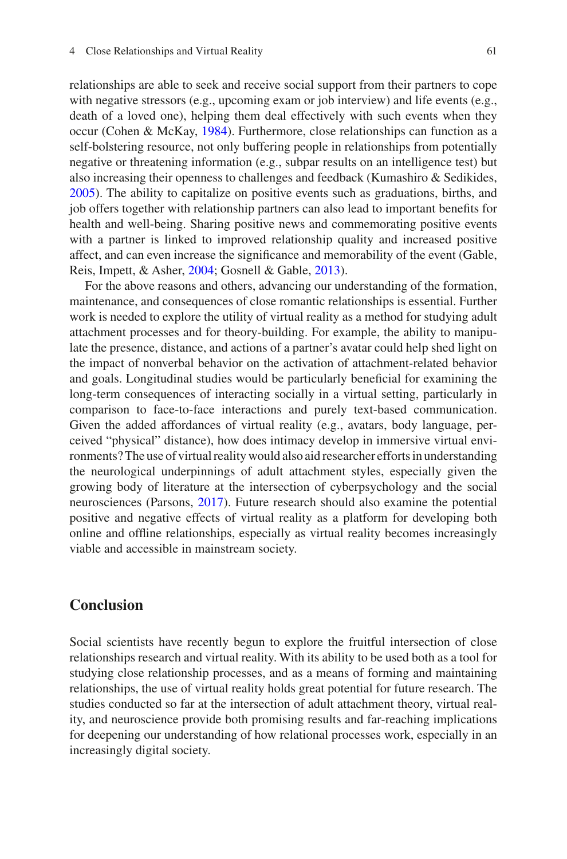relationships are able to seek and receive social support from their partners to cope with negative stressors (e.g., upcoming exam or job interview) and life events (e.g., death of a loved one), helping them deal effectively with such events when they occur (Cohen & McKay, [1984](#page-14-17)). Furthermore, close relationships can function as a self-bolstering resource, not only buffering people in relationships from potentially negative or threatening information (e.g., subpar results on an intelligence test) but also increasing their openness to challenges and feedback (Kumashiro & Sedikides, [2005\)](#page-15-18). The ability to capitalize on positive events such as graduations, births, and job offers together with relationship partners can also lead to important benefits for health and well-being. Sharing positive news and commemorating positive events with a partner is linked to improved relationship quality and increased positive affect, and can even increase the significance and memorability of the event (Gable, Reis, Impett, & Asher, [2004;](#page-14-18) Gosnell & Gable, [2013](#page-14-19)).

For the above reasons and others, advancing our understanding of the formation, maintenance, and consequences of close romantic relationships is essential. Further work is needed to explore the utility of virtual reality as a method for studying adult attachment processes and for theory-building. For example, the ability to manipulate the presence, distance, and actions of a partner's avatar could help shed light on the impact of nonverbal behavior on the activation of attachment-related behavior and goals. Longitudinal studies would be particularly beneficial for examining the long-term consequences of interacting socially in a virtual setting, particularly in comparison to face-to-face interactions and purely text-based communication. Given the added affordances of virtual reality (e.g., avatars, body language, perceived "physical" distance), how does intimacy develop in immersive virtual environments? The use of virtual reality would also aid researcher efforts in understanding the neurological underpinnings of adult attachment styles, especially given the growing body of literature at the intersection of cyberpsychology and the social neurosciences (Parsons, [2017](#page-15-19)). Future research should also examine the potential positive and negative effects of virtual reality as a platform for developing both online and offline relationships, especially as virtual reality becomes increasingly viable and accessible in mainstream society.

## **Conclusion**

Social scientists have recently begun to explore the fruitful intersection of close relationships research and virtual reality. With its ability to be used both as a tool for studying close relationship processes, and as a means of forming and maintaining relationships, the use of virtual reality holds great potential for future research. The studies conducted so far at the intersection of adult attachment theory, virtual reality, and neuroscience provide both promising results and far-reaching implications for deepening our understanding of how relational processes work, especially in an increasingly digital society.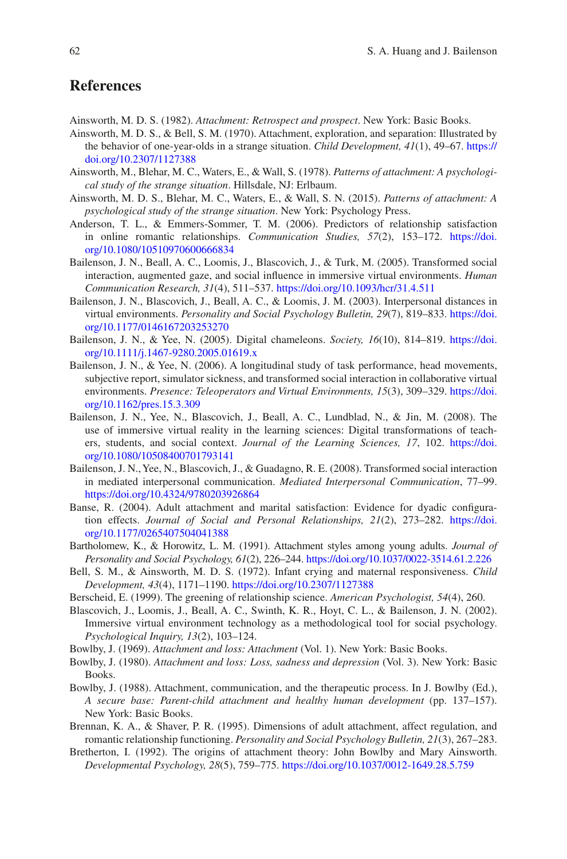# **References**

- <span id="page-13-7"></span>Ainsworth, M. D. S. (1982). *Attachment: Retrospect and prospect*. New York: Basic Books.
- <span id="page-13-2"></span>Ainsworth, M. D. S., & Bell, S. M. (1970). Attachment, exploration, and separation: Illustrated by the behavior of one-year-olds in a strange situation. *Child Development, 41*(1), 49–67. [https://](https://doi.org/10.2307/1127388) [doi.org/10.2307/1127388](https://doi.org/10.2307/1127388)
- <span id="page-13-15"></span>Ainsworth, M., Blehar, M. C., Waters, E., & Wall, S. (1978). *Patterns of attachment: A psychological study of the strange situation*. Hillsdale, NJ: Erlbaum.
- Ainsworth, M. D. S., Blehar, M. C., Waters, E., & Wall, S. N. (2015). *Patterns of attachment: A psychological study of the strange situation*. New York: Psychology Press.
- <span id="page-13-19"></span>Anderson, T. L., & Emmers-Sommer, T. M. (2006). Predictors of relationship satisfaction in online romantic relationships. *Communication Studies, 57*(2), 153–172. [https://doi.](https://doi.org/10.1080/10510970600666834) [org/10.1080/10510970600666834](https://doi.org/10.1080/10510970600666834)
- <span id="page-13-18"></span>Bailenson, J. N., Beall, A. C., Loomis, J., Blascovich, J., & Turk, M. (2005). Transformed social interaction, augmented gaze, and social influence in immersive virtual environments. *Human Communication Research, 31*(4), 511–537.<https://doi.org/10.1093/hcr/31.4.511>
- <span id="page-13-12"></span>Bailenson, J. N., Blascovich, J., Beall, A. C., & Loomis, J. M. (2003). Interpersonal distances in virtual environments. *Personality and Social Psychology Bulletin, 29*(7), 819–833. [https://doi.](https://doi.org/10.1177/0146167203253270) [org/10.1177/0146167203253270](https://doi.org/10.1177/0146167203253270)
- <span id="page-13-14"></span>Bailenson, J. N., & Yee, N. (2005). Digital chameleons. *Society, 16*(10), 814–819. [https://doi.](https://doi.org/10.1111/j.1467-9280.2005.01619.x) [org/10.1111/j.1467-9280.2005.01619.x](https://doi.org/10.1111/j.1467-9280.2005.01619.x)
- <span id="page-13-13"></span>Bailenson, J. N., & Yee, N. (2006). A longitudinal study of task performance, head movements, subjective report, simulator sickness, and transformed social interaction in collaborative virtual environments. *Presence: Teleoperators and Virtual Environments, 15*(3), 309–329. [https://doi.](https://doi.org/10.1162/pres.15.3.309) [org/10.1162/pres.15.3.309](https://doi.org/10.1162/pres.15.3.309)
- <span id="page-13-16"></span>Bailenson, J. N., Yee, N., Blascovich, J., Beall, A. C., Lundblad, N., & Jin, M. (2008). The use of immersive virtual reality in the learning sciences: Digital transformations of teachers, students, and social context. *Journal of the Learning Sciences, 17*, 102. [https://doi.](https://doi.org/10.1080/10508400701793141) [org/10.1080/10508400701793141](https://doi.org/10.1080/10508400701793141)
- <span id="page-13-17"></span>Bailenson, J. N., Yee, N., Blascovich, J., & Guadagno, R. E. (2008). Transformed social interaction in mediated interpersonal communication. *Mediated Interpersonal Communication*, 77–99. <https://doi.org/10.4324/9780203926864>
- <span id="page-13-9"></span>Banse, R. (2004). Adult attachment and marital satisfaction: Evidence for dyadic configuration effects. *Journal of Social and Personal Relationships, 21*(2), 273–282. [https://doi.](https://doi.org/10.1177/0265407504041388) [org/10.1177/0265407504041388](https://doi.org/10.1177/0265407504041388)
- <span id="page-13-6"></span>Bartholomew, K., & Horowitz, L. M. (1991). Attachment styles among young adults. *Journal of Personality and Social Psychology, 61*(2), 226–244. <https://doi.org/10.1037/0022-3514.61.2.226>
- <span id="page-13-4"></span>Bell, S. M., & Ainsworth, M. D. S. (1972). Infant crying and maternal responsiveness. *Child Development, 43*(4), 1171–1190. <https://doi.org/10.2307/1127388>
- <span id="page-13-0"></span>Berscheid, E. (1999). The greening of relationship science. *American Psychologist, 54*(4), 260.
- <span id="page-13-11"></span>Blascovich, J., Loomis, J., Beall, A. C., Swinth, K. R., Hoyt, C. L., & Bailenson, J. N. (2002). Immersive virtual environment technology as a methodological tool for social psychology. *Psychological Inquiry, 13*(2), 103–124.
- <span id="page-13-1"></span>Bowlby, J. (1969). *Attachment and loss: Attachment* (Vol. 1). New York: Basic Books.
- <span id="page-13-8"></span>Bowlby, J. (1980). *Attachment and loss: Loss, sadness and depression* (Vol. 3). New York: Basic Books.
- <span id="page-13-5"></span>Bowlby, J. (1988). Attachment, communication, and the therapeutic process. In J. Bowlby (Ed.), *A secure base: Parent-child attachment and healthy human development* (pp. 137–157). New York: Basic Books.
- <span id="page-13-10"></span>Brennan, K. A., & Shaver, P. R. (1995). Dimensions of adult attachment, affect regulation, and romantic relationship functioning. *Personality and Social Psychology Bulletin, 21*(3), 267–283.
- <span id="page-13-3"></span>Bretherton, I. (1992). The origins of attachment theory: John Bowlby and Mary Ainsworth. *Developmental Psychology, 28*(5), 759–775. <https://doi.org/10.1037/0012-1649.28.5.759>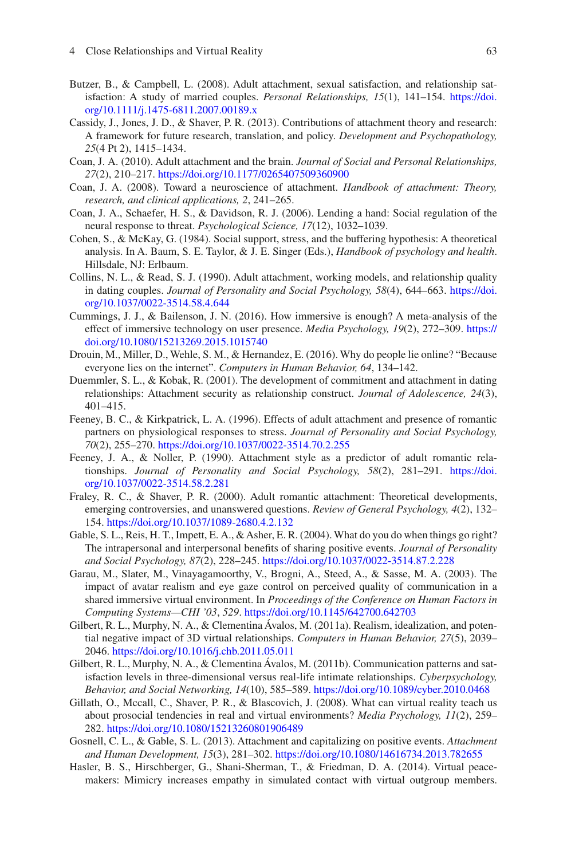- <span id="page-14-4"></span>Butzer, B., & Campbell, L. (2008). Adult attachment, sexual satisfaction, and relationship satisfaction: A study of married couples. *Personal Relationships, 15*(1), 141–154. [https://doi.](https://doi.org/10.1111/j.1475-6811.2007.00189.x) [org/10.1111/j.1475-6811.2007.00189.x](https://doi.org/10.1111/j.1475-6811.2007.00189.x)
- <span id="page-14-0"></span>Cassidy, J., Jones, J. D., & Shaver, P. R. (2013). Contributions of attachment theory and research: A framework for future research, translation, and policy. *Development and Psychopathology, 25*(4 Pt 2), 1415–1434.
- <span id="page-14-7"></span>Coan, J. A. (2010). Adult attachment and the brain. *Journal of Social and Personal Relationships, 27*(2), 210–217. <https://doi.org/10.1177/0265407509360900>
- <span id="page-14-8"></span>Coan, J. A. (2008). Toward a neuroscience of attachment. *Handbook of attachment: Theory, research, and clinical applications, 2*, 241–265.
- <span id="page-14-9"></span>Coan, J. A., Schaefer, H. S., & Davidson, R. J. (2006). Lending a hand: Social regulation of the neural response to threat. *Psychological Science, 17*(12), 1032–1039.
- <span id="page-14-17"></span>Cohen, S., & McKay, G. (1984). Social support, stress, and the buffering hypothesis: A theoretical analysis. In A. Baum, S. E. Taylor, & J. E. Singer (Eds.), *Handbook of psychology and health*. Hillsdale, NJ: Erlbaum.
- <span id="page-14-1"></span>Collins, N. L., & Read, S. J. (1990). Adult attachment, working models, and relationship quality in dating couples. *Journal of Personality and Social Psychology, 58*(4), 644–663. [https://doi.](https://doi.org/10.1037/0022-3514.58.4.644) [org/10.1037/0022-3514.58.4.644](https://doi.org/10.1037/0022-3514.58.4.644)
- <span id="page-14-10"></span>Cummings, J. J., & Bailenson, J. N. (2016). How immersive is enough? A meta-analysis of the effect of immersive technology on user presence. *Media Psychology, 19*(2), 272–309. [https://](https://doi.org/10.1080/15213269.2015.1015740) [doi.org/10.1080/15213269.2015.1015740](https://doi.org/10.1080/15213269.2015.1015740)
- <span id="page-14-16"></span>Drouin, M., Miller, D., Wehle, S. M., & Hernandez, E. (2016). Why do people lie online? "Because everyone lies on the internet". *Computers in Human Behavior, 64*, 134–142.
- <span id="page-14-5"></span>Duemmler, S. L., & Kobak, R. (2001). The development of commitment and attachment in dating relationships: Attachment security as relationship construct. *Journal of Adolescence, 24*(3), 401–415.
- <span id="page-14-6"></span>Feeney, B. C., & Kirkpatrick, L. A. (1996). Effects of adult attachment and presence of romantic partners on physiological responses to stress. *Journal of Personality and Social Psychology, 70*(2), 255–270. <https://doi.org/10.1037/0022-3514.70.2.255>
- <span id="page-14-2"></span>Feeney, J. A., & Noller, P. (1990). Attachment style as a predictor of adult romantic relationships. *Journal of Personality and Social Psychology, 58*(2), 281–291. [https://doi.](https://doi.org/10.1037/0022-3514.58.2.281) [org/10.1037/0022-3514.58.2.281](https://doi.org/10.1037/0022-3514.58.2.281)
- <span id="page-14-3"></span>Fraley, R. C., & Shaver, P. R. (2000). Adult romantic attachment: Theoretical developments, emerging controversies, and unanswered questions. *Review of General Psychology, 4*(2), 132– 154. <https://doi.org/10.1037/1089-2680.4.2.132>
- <span id="page-14-18"></span>Gable, S. L., Reis, H. T., Impett, E. A., & Asher, E. R. (2004). What do you do when things go right? The intrapersonal and interpersonal benefits of sharing positive events. *Journal of Personality and Social Psychology, 87*(2), 228–245. <https://doi.org/10.1037/0022-3514.87.2.228>
- <span id="page-14-12"></span>Garau, M., Slater, M., Vinayagamoorthy, V., Brogni, A., Steed, A., & Sasse, M. A. (2003). The impact of avatar realism and eye gaze control on perceived quality of communication in a shared immersive virtual environment. In *Proceedings of the Conference on Human Factors in Computing Systems—CHI '03*, *529*. <https://doi.org/10.1145/642700.642703>
- <span id="page-14-14"></span>Gilbert, R. L., Murphy, N. A., & Clementina Ávalos, M. (2011a). Realism, idealization, and potential negative impact of 3D virtual relationships. *Computers in Human Behavior, 27*(5), 2039– 2046.<https://doi.org/10.1016/j.chb.2011.05.011>
- <span id="page-14-15"></span>Gilbert, R. L., Murphy, N. A., & Clementina Ávalos, M. (2011b). Communication patterns and satisfaction levels in three-dimensional versus real-life intimate relationships. *Cyberpsychology, Behavior, and Social Networking, 14*(10), 585–589.<https://doi.org/10.1089/cyber.2010.0468>
- <span id="page-14-11"></span>Gillath, O., Mccall, C., Shaver, P. R., & Blascovich, J. (2008). What can virtual reality teach us about prosocial tendencies in real and virtual environments? *Media Psychology, 11*(2), 259– 282. <https://doi.org/10.1080/15213260801906489>
- <span id="page-14-19"></span>Gosnell, C. L., & Gable, S. L. (2013). Attachment and capitalizing on positive events. *Attachment and Human Development, 15*(3), 281–302. <https://doi.org/10.1080/14616734.2013.782655>
- <span id="page-14-13"></span>Hasler, B. S., Hirschberger, G., Shani-Sherman, T., & Friedman, D. A. (2014). Virtual peacemakers: Mimicry increases empathy in simulated contact with virtual outgroup members.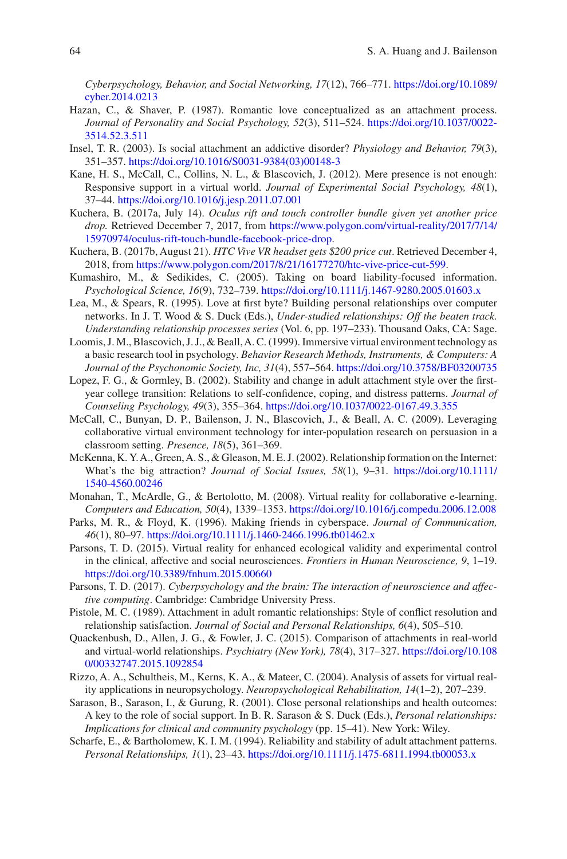*Cyberpsychology, Behavior, and Social Networking, 17*(12), 766–771. [https://doi.org/10.1089/](https://doi.org/10.1089/cyber.2014.0213) [cyber.2014.0213](https://doi.org/10.1089/cyber.2014.0213)

- <span id="page-15-0"></span>Hazan, C., & Shaver, P. (1987). Romantic love conceptualized as an attachment process. *Journal of Personality and Social Psychology, 52*(3), 511–524. [https://doi.org/10.1037/0022-](https://doi.org/10.1037/0022-3514.52.3.511) [3514.52.3.511](https://doi.org/10.1037/0022-3514.52.3.511)
- <span id="page-15-5"></span>Insel, T. R. (2003). Is social attachment an addictive disorder? *Physiology and Behavior, 79*(3), 351–357. [https://doi.org/10.1016/S0031-9384\(03\)00148-3](https://doi.org/10.1016/S0031-9384(03)00148-3)
- <span id="page-15-4"></span>Kane, H. S., McCall, C., Collins, N. L., & Blascovich, J. (2012). Mere presence is not enough: Responsive support in a virtual world. *Journal of Experimental Social Psychology, 48*(1), 37–44.<https://doi.org/10.1016/j.jesp.2011.07.001>
- <span id="page-15-6"></span>Kuchera, B. (2017a, July 14). *Oculus rift and touch controller bundle given yet another price drop.* Retrieved December 7, 2017, from [https://www.polygon.com/virtual-reality/2017/7/14/](https://www.polygon.com/virtual-reality/2017/7/14/15970974/oculus-rift-touch-bundle-facebook-price-drop) [15970974/oculus-rift-touch-bundle-facebook-price-drop](https://www.polygon.com/virtual-reality/2017/7/14/15970974/oculus-rift-touch-bundle-facebook-price-drop).
- <span id="page-15-7"></span>Kuchera, B. (2017b, August 21). *HTC Vive VR headset gets \$200 price cut*. Retrieved December 4, 2018, from [https://www.polygon.com/2017/8/21/16177270/htc-vive-price-cut-599.](https://www.polygon.com/2017/8/21/16177270/htc-vive-price-cut-599)
- <span id="page-15-18"></span>Kumashiro, M., & Sedikides, C. (2005). Taking on board liability-focused information. *Psychological Science, 16*(9), 732–739. <https://doi.org/10.1111/j.1467-9280.2005.01603.x>
- <span id="page-15-14"></span>Lea, M., & Spears, R. (1995). Love at first byte? Building personal relationships over computer networks. In J. T. Wood & S. Duck (Eds.), *Under-studied relationships: Off the beaten track. Understanding relationship processes series* (Vol. 6, pp. 197–233). Thousand Oaks, CA: Sage.
- <span id="page-15-8"></span>Loomis, J. M., Blascovich, J. J., & Beall, A. C. (1999). Immersive virtual environment technology as a basic research tool in psychology. *Behavior Research Methods, Instruments, & Computers: A Journal of the Psychonomic Society, Inc, 31*(4), 557–564.<https://doi.org/10.3758/BF03200735>
- <span id="page-15-2"></span>Lopez, F. G., & Gormley, B. (2002). Stability and change in adult attachment style over the firstyear college transition: Relations to self-confidence, coping, and distress patterns. *Journal of Counseling Psychology, 49*(3), 355–364.<https://doi.org/10.1037/0022-0167.49.3.355>
- <span id="page-15-11"></span>McCall, C., Bunyan, D. P., Bailenson, J. N., Blascovich, J., & Beall, A. C. (2009). Leveraging collaborative virtual environment technology for inter-population research on persuasion in a classroom setting. *Presence, 18*(5), 361–369.
- <span id="page-15-15"></span>McKenna, K. Y. A., Green, A. S., & Gleason, M. E. J. (2002). Relationship formation on the Internet: What's the big attraction? *Journal of Social Issues, 58*(1), 9–31. [https://doi.org/10.1111/](https://doi.org/10.1111/1540-4560.00246) [1540-4560.00246](https://doi.org/10.1111/1540-4560.00246)
- <span id="page-15-12"></span>Monahan, T., McArdle, G., & Bertolotto, M. (2008). Virtual reality for collaborative e-learning. *Computers and Education, 50*(4), 1339–1353.<https://doi.org/10.1016/j.compedu.2006.12.008>
- <span id="page-15-13"></span>Parks, M. R., & Floyd, K. (1996). Making friends in cyberspace. *Journal of Communication, 46*(1), 80–97.<https://doi.org/10.1111/j.1460-2466.1996.tb01462.x>
- <span id="page-15-10"></span>Parsons, T. D. (2015). Virtual reality for enhanced ecological validity and experimental control in the clinical, affective and social neurosciences. *Frontiers in Human Neuroscience, 9*, 1–19. <https://doi.org/10.3389/fnhum.2015.00660>
- <span id="page-15-19"></span>Parsons, T. D. (2017). *Cyberpsychology and the brain: The interaction of neuroscience and affective computing*. Cambridge: Cambridge University Press.
- <span id="page-15-1"></span>Pistole, M. C. (1989). Attachment in adult romantic relationships: Style of conflict resolution and relationship satisfaction. *Journal of Social and Personal Relationships, 6*(4), 505–510.
- <span id="page-15-16"></span>Quackenbush, D., Allen, J. G., & Fowler, J. C. (2015). Comparison of attachments in real-world and virtual-world relationships. *Psychiatry (New York), 78*(4), 317–327. [https://doi.org/10.108](https://doi.org/10.1080/00332747.2015.1092854) [0/00332747.2015.1092854](https://doi.org/10.1080/00332747.2015.1092854)
- <span id="page-15-9"></span>Rizzo, A. A., Schultheis, M., Kerns, K. A., & Mateer, C. (2004). Analysis of assets for virtual reality applications in neuropsychology. *Neuropsychological Rehabilitation, 14*(1–2), 207–239.
- <span id="page-15-17"></span>Sarason, B., Sarason, I., & Gurung, R. (2001). Close personal relationships and health outcomes: A key to the role of social support. In B. R. Sarason & S. Duck (Eds.), *Personal relationships: Implications for clinical and community psychology* (pp. 15–41). New York: Wiley.
- <span id="page-15-3"></span>Scharfe, E., & Bartholomew, K. I. M. (1994). Reliability and stability of adult attachment patterns. *Personal Relationships, 1*(1), 23–43.<https://doi.org/10.1111/j.1475-6811.1994.tb00053.x>